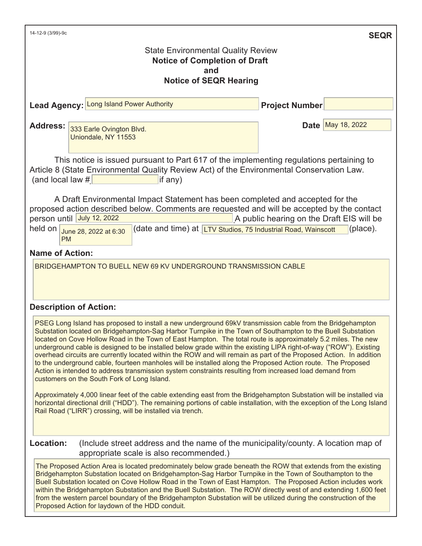| 14-12-9 (3/99)-9c                                                                                                                                                                                                                                                                                                                                                                                                                                                                                                                                                                                                                                                                                                                                                                                                                                           |                       | <b>SEQR</b>                |  |  |  |
|-------------------------------------------------------------------------------------------------------------------------------------------------------------------------------------------------------------------------------------------------------------------------------------------------------------------------------------------------------------------------------------------------------------------------------------------------------------------------------------------------------------------------------------------------------------------------------------------------------------------------------------------------------------------------------------------------------------------------------------------------------------------------------------------------------------------------------------------------------------|-----------------------|----------------------------|--|--|--|
| <b>State Environmental Quality Review</b><br><b>Notice of Completion of Draft</b><br>and                                                                                                                                                                                                                                                                                                                                                                                                                                                                                                                                                                                                                                                                                                                                                                    |                       |                            |  |  |  |
| <b>Notice of SEQR Hearing</b>                                                                                                                                                                                                                                                                                                                                                                                                                                                                                                                                                                                                                                                                                                                                                                                                                               |                       |                            |  |  |  |
| Lead Agency: Long Island Power Authority                                                                                                                                                                                                                                                                                                                                                                                                                                                                                                                                                                                                                                                                                                                                                                                                                    | <b>Project Number</b> |                            |  |  |  |
| <b>Address:</b><br>333 Earle Ovington Blvd.<br>Uniondale, NY 11553                                                                                                                                                                                                                                                                                                                                                                                                                                                                                                                                                                                                                                                                                                                                                                                          |                       | <b>Date   May 18, 2022</b> |  |  |  |
| This notice is issued pursuant to Part 617 of the implementing regulations pertaining to<br>Article 8 (State Environmental Quality Review Act) of the Environmental Conservation Law.<br>(and local law $#$<br>if any)                                                                                                                                                                                                                                                                                                                                                                                                                                                                                                                                                                                                                                      |                       |                            |  |  |  |
| A Draft Environmental Impact Statement has been completed and accepted for the<br>proposed action described below. Comments are requested and will be accepted by the contact<br>person until July 12, 2022<br>A public hearing on the Draft EIS will be<br>held on $\int$ June 28, 2022 at 6:30<br>(date and time) at <b>LTV Studios, 75 Industrial Road, Wainscott</b><br>(place).<br><b>PM</b>                                                                                                                                                                                                                                                                                                                                                                                                                                                           |                       |                            |  |  |  |
| <b>Name of Action:</b>                                                                                                                                                                                                                                                                                                                                                                                                                                                                                                                                                                                                                                                                                                                                                                                                                                      |                       |                            |  |  |  |
| BRIDGEHAMPTON TO BUELL NEW 69 KV UNDERGROUND TRANSMISSION CABLE                                                                                                                                                                                                                                                                                                                                                                                                                                                                                                                                                                                                                                                                                                                                                                                             |                       |                            |  |  |  |
| <b>Description of Action:</b>                                                                                                                                                                                                                                                                                                                                                                                                                                                                                                                                                                                                                                                                                                                                                                                                                               |                       |                            |  |  |  |
| PSEG Long Island has proposed to install a new underground 69kV transmission cable from the Bridgehampton<br>Substation located on Bridgehampton-Sag Harbor Turnpike in the Town of Southampton to the Buell Substation<br>located on Cove Hollow Road in the Town of East Hampton. The total route is approximately 5.2 miles. The new<br>underground cable is designed to be installed below grade within the existing LIPA right-of-way ("ROW"). Existing<br>overhead circuits are currently located within the ROW and will remain as part of the Proposed Action. In addition<br>to the underground cable, fourteen manholes will be installed along the Proposed Action route. The Proposed<br>Action is intended to address transmission system constraints resulting from increased load demand from<br>customers on the South Fork of Long Island. |                       |                            |  |  |  |
| Approximately 4,000 linear feet of the cable extending east from the Bridgehampton Substation will be installed via<br>horizontal directional drill ("HDD"). The remaining portions of cable installation, with the exception of the Long Island<br>Rail Road ("LIRR") crossing, will be installed via trench.                                                                                                                                                                                                                                                                                                                                                                                                                                                                                                                                              |                       |                            |  |  |  |

**Location:** (Include street address and the name of the municipality/county. A location map of appropriate scale is also recommended.)

The Proposed Action Area is located predominately below grade beneath the ROW that extends from the existing Bridgehampton Substation located on Bridgehampton-Sag Harbor Turnpike in the Town of Southampton to the Buell Substation located on Cove Hollow Road in the Town of East Hampton. The Proposed Action includes work within the Bridgehampton Substation and the Buell Substation. The ROW directly west of and extending 1,600 feet from the western parcel boundary of the Bridgehampton Substation will be utilized during the construction of the Proposed Action for laydown of the HDD conduit.